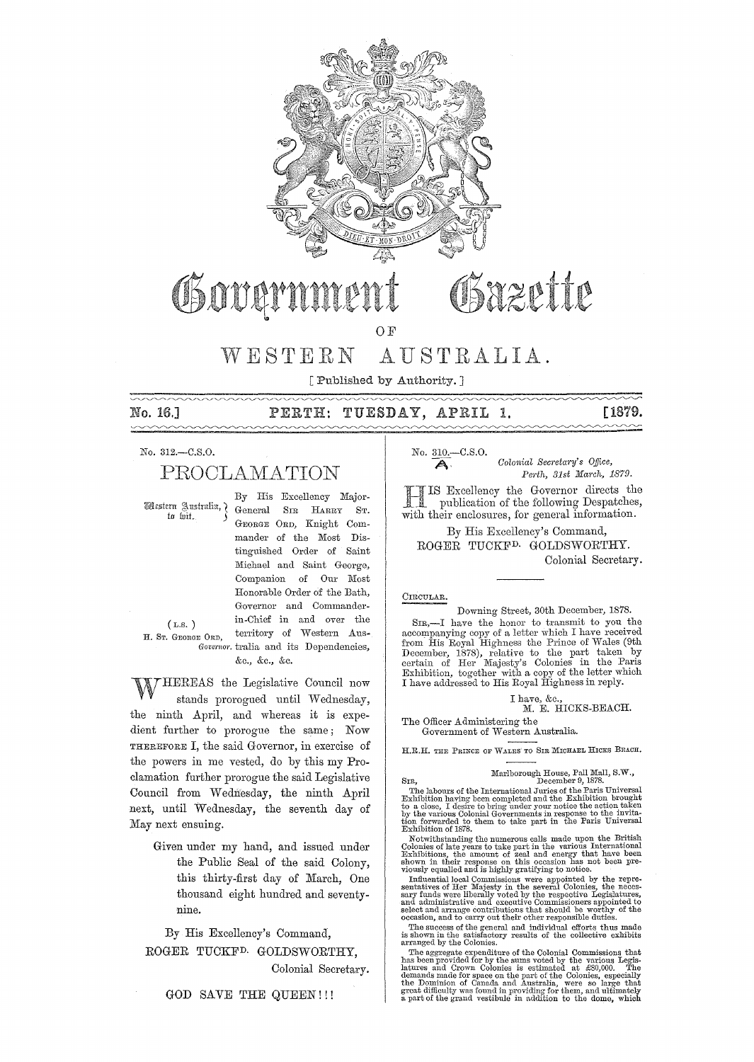

# Osazette Osovern

OF

# WESTERN AUSTRALIA.

[Published by Authority. ]

No. 16.J

## PERTH: TUESDAY, APRIL 1.

[1879.

No. 312.-C.S.0.

# PROCLAMATION

to liit.

By His Excellency Major- \rI)l£l>tcrn ::l\. u.tntlia,"( General SIR HARRY ST. GEORGE ORD, Knight Commander of the Most Distinguished Order of Saint Michael and Saint George, Companion of Our Most Honorable Order of the Bath, Governor and Commanderin-Chief in and over the territory of Western Aus-*Governor.* tralia and its Dependencies, &c., &c., &c.

(L,S. ) H. ST. GEORGE OnD,

WHEREAS the Legislative Council now stands prorogued until Wednesday, the ninth April, and whereas it is expedient further to prorogue the same; Now THEREFORE I, the said Governor, in exercise of the powers in me vested, do by this my Proclamation further prorogue the said Legislative Council from Wednesday, the ninth April next, until Wednesday, the seventh day of May next ensuing.

> Given under my hand, and issued under the Public Seal of the said Colony, this thirty-first day of March, One thousand eight hundred and seventynine.

By His Excellency's Command, ROGER TUCKFD. GOLDSWORTHY, Colonial Secretary.

GOD SAVE THE QUEEN!!!

No. 310.<sup>---</sup>C.S.O.<br>Colonial Secretary's Office,<br>Perth, 31st March, 1879. *Pm·th, 31st Ma1'ch, 1879.* 

Excellency the Governor directs the publication of the following Despatches, with their enclosures, for general information.

By His Excellency's Command, ROGER TUCKFD. GOLDSWORTHY. Colonial Secretary.

#### CIRCULAR.

Downing Street, 30th December, 1878.

SIR,-I have the honor to transmit to you the accompanying copy of a letter which I have received from His Royal Highness the Prince of Wales (9th December, 1878), relative to the part taken by certain of Her Majesty's Colonies in the Paris Exhibition, together with a copy of the letter which I have addressed to His Royal Highness in reply.

I have, &c.,<br>M. E. HICKS-BEACH.

The Officer Administering the

Government of Western Australia.

H.R.H. THE PRINCE OF WALES TO SIR MICHAEL HICKS BEACH.

## Marlborough House, Pall Mall, S.W.,<br>
December 9, 1878.

The labours of the International Juries of the Paris Universal Exhibition having been completed and the Exhibition brought to a close, I desire to bring under your notice the action taken by the various Colonial Governmen

Notwithstanding the numerous calls made upon the British Colonies of late years to take part in the various International Exhibitions, the amount of zeal and energy that have been shown in their response on this occasion h

Influential local Commissions were appointed by the representatives of Her Majesty in the several Colonies, the necessary funds were liberally voted by the respective Legislatures, and administrative and executive Commissi

The success ofthe general and individual efforts thus made is shown in the satisfactory results of the collective exhibits **arranged by the Colonies.** 

The aggregate expenditure of the Colonial Commissions that<br>has been provided for by the sums voted by the various Legis-<br>latures and Crown Colonies is estimated at £80,000. The demands made for space on the part of the Colonies, especially **the Dominion of Canada and Australia, were so large that**  grcat difficulty was found in providing for them, and ultimately a part of the grand vestibule in addition to the dome, which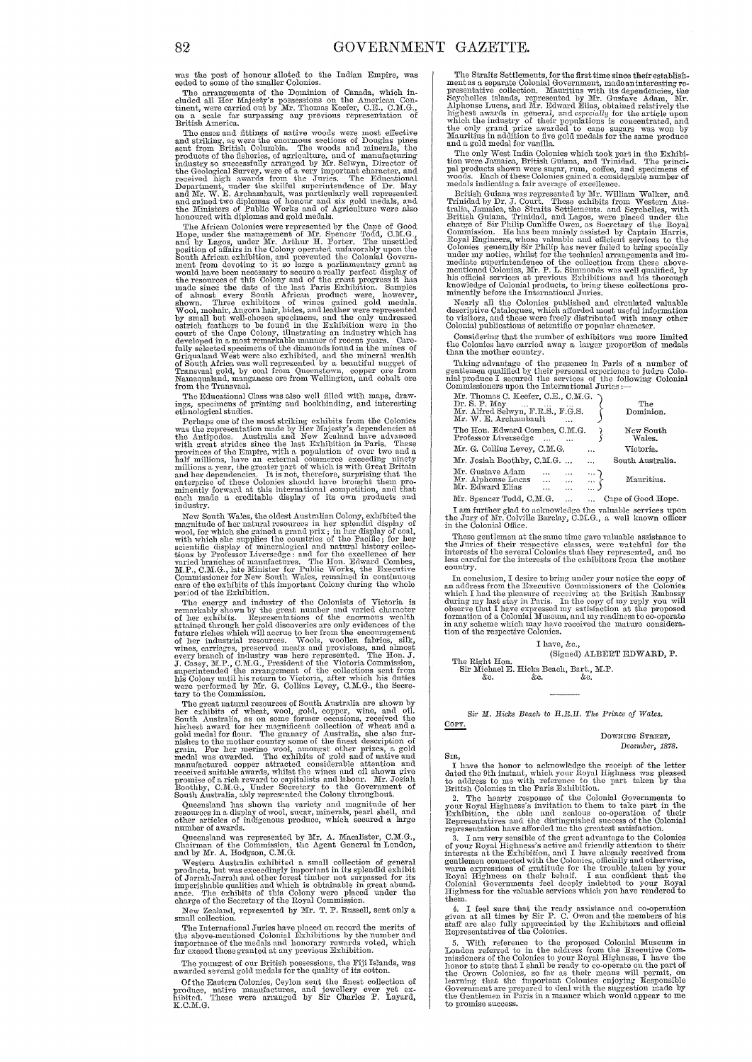was the post of honour alloted to the Indian Empire, was ceded to some of the smaller Colonies.

cease to some on the smaller colominion of Canada, which included all Her Majesty's possessions on the American Conditional, were carried out by Mr. Thomas Keefer, C.E., C.M.G.,  $\alpha_1$ ,  $\alpha_2$ ,  $\alpha_3$ ,  $\alpha_4$ , scale far s British America

British America.<br>
The cases and fittings of native woods were most effective<br>
The cases and striking, as were the enormous sections of Douglas pines<br>
sent from British Columbia. The woods and minerals, the<br>
products of the

the Ministers of Public Works and of Agriculture were also<br>the monured with diplomas and gold medals.<br>The African Colonies were represented by the Cape of Good<br>Hope, under the management of Mr. Spencer Todd, C.M.G.<br>and by

The Educational Class was also well filled with maps, drawings, specimens of printing and bookbinding, and interesting ethnological studies.

ethnological studies.<br>
Tenhaps one of the most striking exhibits from the Colonies<br>
Tenhaps one of the most striking exhibits from the Colonies<br>
was the representation made by Her Majesty's dependencies at<br>
the Antipodes. industry.

munstry.<br>
Mustery.<br>
New South Wales, the oldest Australian Colony, exhibited the<br>
magnitude of her natural resources in her splendid display of<br>
wool, for which she gained a grand prix; in her display of coal,<br>
with which

period of the Exhibition.<br>The energy and industry of the Colonists of Victoria is<br>remarkably shown by the great number and varied character<br>of her exhibits. Eopresentations of the enormous wealth<br>that of the energy of the

tary to the Commission.<br>The great natural resources of South Australia are shown by<br>lere rexhibits of wheat, wool, gold, copper, wine, and oil.<br>South Australia, as on some former occasions, received the<br>highest award for

Contractional has shown the variety and magnitude of her resources in a display of wool, sucar, minerals, pearl shell, and other articles of indigenous produce, which secured a large number of awards.

Concensional was represented by Mr. A. Macalister, C.M.G.,<br>Chairman of the Commission, the Agent General in London,<br>and by Mr. A. Hodgson, C.M.G.

and by mr. A. Hougson, C. m. G.<br>
Western Australia exhibited a small collection of general<br>
Western Australia exhibited a small collection of general<br>
products, but was exceedingly important in its splendid exhibit<br>
imperi

New Zealand, represented by Mr. T. P. Russell, sent only a<br>small collection.

state concolous. The International Juries have placed on record the merits of the above-mentioned Colonial Exhibitions by the number and importance of the medals and honorary rewards voted, which far exceed those granted a

The youngest of our British possessions, the Fiji Islands, was awarded several gold medals for the quality of its cotton.

Of the Eastern Colonies, Ceylon sent the finest collection of roduce, native manufactures, and jewellery ever yet ex-<br>ibited. These were arranged by Sir Charles P. Layard, hibited  $\overline{K}$ .C.M. $G$ .

The Straits Settlements, for the first time since their establishment as a separate Colonial Government, made an interesting respectative collection. Mauritius with its dependencies, the Septelells islands, represented by

and a gota mean for vamina.<br>The only West India Colonies which took part in the Exhibition were Jamaica, British Guiana, and Trinidad. The principal products shown were sugar, rum, coffee, and specimens of woods. Each of t

woods. Latter of these conduces galact a constantine number of medals indicating a fair average of excellence.<br>
Brinida by Dr. J. Court. These exhibits from Western Australia, Jamaica, the Straits Settlements. and Seychell

Considering that the number of exhibitors was more limited<br>the Colonies have carried away a larger proportion of medals than the mother country.

Taking advantage of the presence in Paris of a number of<br>gentlemen qualified by their personal experience to judge Colo-<br>hial produce I secured the services of the following Colonial<br>Commissioners upon the International Ju

| Mr. Thomas C. Keefer, C.E., C.M.G.<br>Dr. S. P. May<br>Mr. Alfred Selwyn, F.R.S., F.G.S.<br>Mr. W. E. Archambault                |          | The<br>Dominion.    |
|----------------------------------------------------------------------------------------------------------------------------------|----------|---------------------|
| The Hon. Edward Combes, C.M.G.<br>Professor Liversedge                                                                           |          | New South<br>Wales. |
| Mr. G. Collins Levey, C.M.G.                                                                                                     | $\cdots$ | Victoria.           |
| Mr. Josiah Boothby, C.M.G.                                                                                                       | .        | South Australia.    |
| Mr. Gustave Adam<br>$\begin{array}{c} \dots \\ \dots \\ \dots \end{array}$<br>Mr. Alphonse Lucas<br>$\cdots$<br>Mr. Edward Elias |          | Mauritius.          |
| Mr. Spencer Todd. C.M.G.<br><b>Carlos Committee</b>                                                                              |          | Cape of Good Hope   |

I am further glad to acknowledge the valuable services upon<br>the Jury of Mr. Colville Barclay, C.M.G., a well known officer<br>in the Colonial Office.

These gentlemen at the same time gave valuable assistance to the Juries of their respective classes, were watchful for the interests of the several Colonies that they represented, and no less careful for the interests of t

In conclusion, I desire to bring under your notice the copy of<br>In conclusion, I desire to bring under your notice the Colonies<br>which I had the pleasure of receiving at the British Embassy<br>during my last stay in Paris. In t

#### I have, &c.,

(Signed) ALBERT EDWARD, P.

The Right Hon.<br>
Sir Michael E. Hicks Beach, Bart., M.P.<br>
&c. &c. &c. &c.

Sir M. Hicks Beach to H.R.H. The Prince of Wales.

DOWNING STREET. December, 1878.

COPY.

Sin,<br>
Inve the honor to acknowledge the receipt of the left<br>
I have the honor to acknowledge the receipt of the letter<br>
dated the 9th instant, which your Royal Highness was pleased<br>
to address to me with reference to the

 $\,$  4. I feel sure that the ready assistance and co-operation given at all times by Sir P. C. Owen and the members of his staff are also fully appreciated by the Exhibitors and official Representatives of the Colonies.

Representatives of the Conducts.<br>
In S. With reference to the proposed Colonial Museum in<br>
London referred to in the address from the Executive Com-<br>
missioners of the Colonies to your Royal Highness, I have the<br>
nhoor to to promise success.

82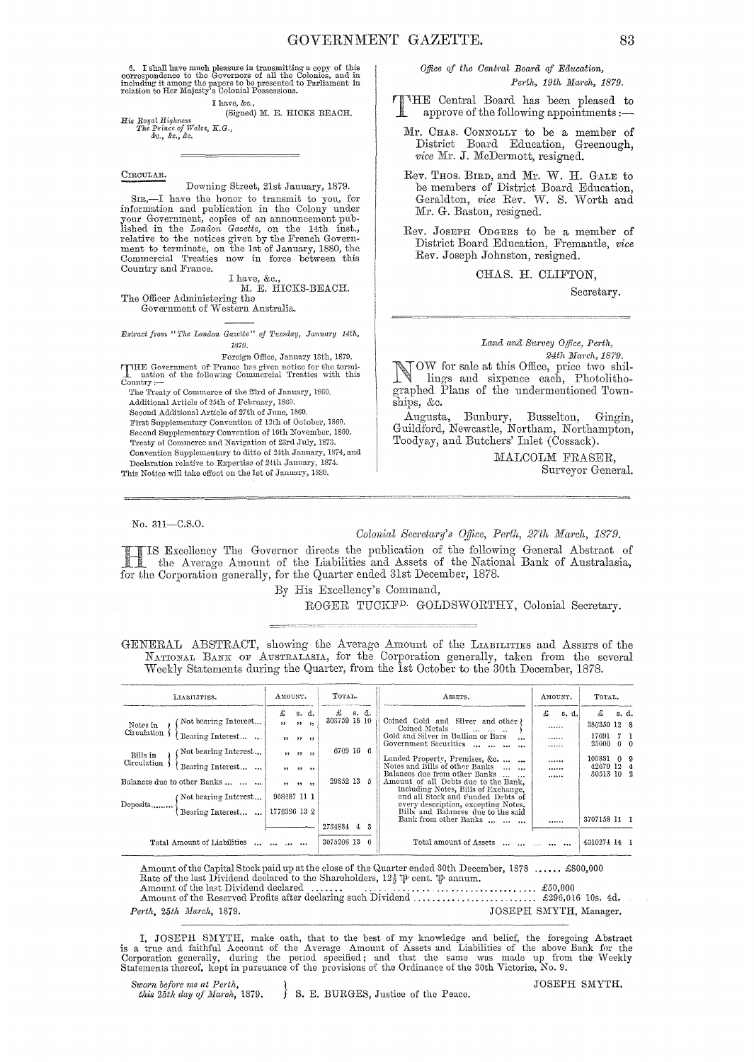6. I shall have much pleasure in transmitting a copy of this correspondence to the Governors of all the Colonies, and in including it among the papers to be presented to Parliament in relation to Her Majesty's Colonial Po

I have, &c.,

His *Royal* Highness *The Prince of* Wales, *K.G.,*  &0., &0., &c. (Signed) M. E. HICKS BEACH.

#### CIRCULAR.

Downing Street, 21st January, 1879.

SIR,-I have the honor to trausmit to you, for information and publication in the Colony under yonr Government, copies of an announcement pub-lished in the *London Gazette,* on the 14th inst., relative to the notices given by the French Government to terminate, on the 1st of January, 1880, the Commercial Treaties now in force between this Country and France.

I have, &c.,<br>M. E. HICKS-BEACH.

The Officer Administering the

Government of Western Australia.

*Extract from* "The London Gazette" of Tuesday, January 14th, 1879.

Foreign Office, January 13th, 1879.

THE Government of France has given notice for the termi-<br>nation of the following Commercial Treaties with this<br>Country:-

The Treaty of Commerce of the 23rd of January, 18GO. Additional Article of 25th of February, 1860. Second Additional Article of 27th of June, 18GO. First Supplementary Convention of 12th of October, 1860. Second Supplementary Convention of 16th November, 1860. Treaty of Commerce and Navigation of 23rd July, 1873. Convention Supplementary to ditto of 24th January, 1874, and Declaration relative to Expertise of 24th January, 1874. This Notice will take effect on the 1st of January, 1880.

*Office of the Centml Board of Edtwation,*   $Perth, 19th$  *March, 1879.* 

THE Central Board has been pleased to approve of the following appointments :-

Mr. CHAS. CONNOLLY to be a member of District Board Edncation, Greenough, *vice* Mr. J. McDermott, resigned.

Rev. THOS. BIRD, and Mr. W. H. GALE to be members of District Board Education, Geraldton, vice Rev. W. S. Worth and Mr. G. Baston, resigned.

Rev. JOSEPH ODGERS to be a member of District Board Education, Fremantle, vice Rev. Joseph Johnston, resigned.

CHAS. H. CLIFTON,

Secretary.

#### *Land and SU1'vey Office, Perth,*

24th March, 1879. OW for sale at this Office, price two shillings and sixpence each, Photolithographed Plans of the undermentioned Townships, &c.

Augusta, Bunbury, Busselton, Gingin, Guildford, Newcastle, Northam, Northampton, Toodyay, and Butchers' Inlet (Cossack).

> MALCOLM FRASER. Surveyor General.

No. 3U-C.S.O.

#### *Colonial Secretary's Office, Perth, 27th March, 1879.*

Excellency The Governor directs the publication of the following General Abstract of the Average Amount of the Liabilities and Assets of the National Bank of Australasia, for the Corporation generally, for the Quarter ended 31st December, 1878.

By His Excellency's Command,

ROGER TUCKFD. GOLDSWORTHY, Colonial Secretary.

GENERAL ABSTRACT, showing the Average Amount of the LIABILITIES and AssETS of the NATIONAL BANK OF AUSTRALASIA, for the Corporation generally, taken from the several Weekly Statements during the Quarter, from the 1st October to the 30th December, 1878.

| LIABILITIES.                                                                                                                                                                                                   |  | AMOUNT.                                      |                                            | TOTAL.                                  |          |          | ASSETS.                                                                                                                                                                                                                                                                                                                                                                                                                         | AMOUNT.                     |       | TOTAL.                                                                   |                                              |  |
|----------------------------------------------------------------------------------------------------------------------------------------------------------------------------------------------------------------|--|----------------------------------------------|--------------------------------------------|-----------------------------------------|----------|----------|---------------------------------------------------------------------------------------------------------------------------------------------------------------------------------------------------------------------------------------------------------------------------------------------------------------------------------------------------------------------------------------------------------------------------------|-----------------------------|-------|--------------------------------------------------------------------------|----------------------------------------------|--|
| Not bearing Interest<br>Notes in<br>Circulation<br>Bearing Interest<br>Not bearing Interest<br>Bills in<br>Circulation<br>Bearing Interest<br>Balances due to other Banks<br>(Not bearing Interest<br>Deposits |  | £<br>$\overline{\phantom{a}}$<br>958487 11 1 | s. d.<br>$22 - 22$<br>77.77.77<br>22.22.22 | 303759 18 10<br>6709 16 6<br>29852 13 5 | $f$ s.d. |          | Coined Gold and Silver and other)<br>Coined Metals<br>$100 - 100 - 100$<br>Gold and Silver in Bullion or Bars<br>$\cdots$<br>Government Securities<br>$\ddotsc$<br>Landed Property, Premises, &c.<br>Notes and Bills of other Banks<br>Balances due from other Banks<br>Amount of all Debts due to the Bank.<br>including Notes, Bills of Exchange.<br>and all Stock and Funded Debts of<br>every description, excepting Notes, | £<br>.<br><br>.<br><br><br> | s. d. | £<br>386350 12 8<br>17691<br>25000<br>100881<br>42679 12 4<br>30513 10 2 | s. d.<br>7 1<br>$0\quad 0$<br>0 <sub>9</sub> |  |
| Bearing Interest                                                                                                                                                                                               |  | 1776396 13 2                                 |                                            | 2734884 4                               |          | 3        | Bills and Balances due to the said<br>Bank from other Banks                                                                                                                                                                                                                                                                                                                                                                     |                             |       | 3707158 11 1                                                             |                                              |  |
| Total Amount of Liabilities                                                                                                                                                                                    |  |                                              |                                            | 3075206 13                              |          | $\Omega$ | Total amount of Assets                                                                                                                                                                                                                                                                                                                                                                                                          |                             |       | 4310274 14 1                                                             |                                              |  |

Amount of the Capital Stock paid up at the close of the Quarter ended 30th December, 1878 ...... £800,000 Rate of the last Dividend declared to the Shareholders,  $12\frac{1}{2}$  (eent.  $\mathbb{P}$  annum. Rate of the last Dividend declared to the Shareholders,  $12\frac{1}{2}$  went.  $\frac{1}{V}$  annum.<br>Amount of the last Dividend declared .......<br>Amount of the Reserved Profits after declaring such Dividend ......................... *Perth, 25th March, 1879.* JOSEPH SMYTH, Manager.

I, JOSEPH SMYTH, make oath, that to the best of my knowledge and belief, the foregoing Abstract<br>is a true and faithful Account of the Average Amount of Assets and Liabilities of the above Bank for the<br>Corporation generally Statements thereof, kept in pursuance of the provisions of the Ordinance of the 30th Victoriæ, No. 9.

*Sworn before me at Perth, this 25th day of March, 1879.* 

*f* 8. E. BURGES, Justice of the Peace.

JOSEPH SMYTH.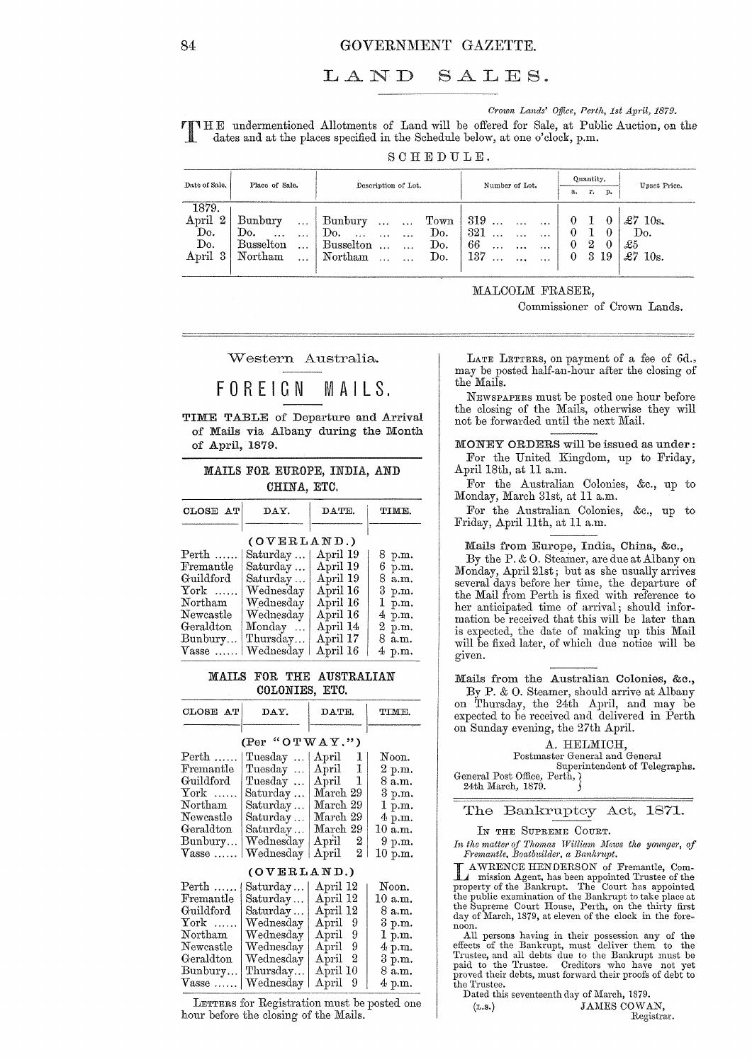## LAND SALES.

*Crown Lands' Office, Perth, 1st April, 1879.*<br>
THE undermentioned Allotments of Land will be offered for Sale, at Public Auction, on the dates and at the places specified in the Schedule below, at one o'clock, p.m.

SCHEDULE.

| Date of Sale. | Place of Sale.        | Description of Lot.             | Number of Lot.        | Quantity.        | Upset Price.          |  |
|---------------|-----------------------|---------------------------------|-----------------------|------------------|-----------------------|--|
|               |                       |                                 |                       | т.<br>р.<br>а.   |                       |  |
| 1879.         |                       |                                 |                       |                  |                       |  |
| April 2       | Bunbury<br>$\cdots$   | Bunbury<br>$\cdots$<br>$\cdots$ | Town $ 319$<br>$\sim$ | $\mathbf{0}$     | $\pounds 7$ 10s.      |  |
| Do.           | Do.<br>$\cdots$       | Do.<br>Do.<br>$\ddotsc$         | 321<br>$\cdots$       | $\Omega$         | Do.                   |  |
| Do.           | <b>Busselton</b><br>. | Do.<br>Busselton                | 66<br>$\cdots$        | 2<br>$\theta$    | £5                    |  |
| April<br>-3   | Northam<br>$\ddotsc$  | Do.<br>Northam                  | 137<br>$\cdots$       | 3 19<br>$\bf{0}$ | $_{\pounds7}$<br>10s. |  |
|               |                       |                                 |                       |                  |                       |  |

MALCOLM FRASER,

Commissioner of Crown Lands.

Western Australia.

# FOREIGN MAILS.

TIME TABLE of Departure and Arrival of Mails via Albany during the Month of April, 1879.

MAILS FOR EUROPE, INDIA, AND CHINA, ETC.

| CLOSE AT              | DAY.        | DATE.    | TIME.  |  |  |
|-----------------------|-------------|----------|--------|--|--|
|                       | (OVERLAND.) |          |        |  |  |
|                       |             |          |        |  |  |
| $\mathrm{Perth}$      | Saturday    | April 19 | 8 p.m. |  |  |
| Fremantle             | Saturday    | April 19 | 6 p.m. |  |  |
| Guildford             | Saturday    | April 19 | 8 a.m. |  |  |
| $\operatorname{York}$ | Wednesday   | April 16 | 3 p.m. |  |  |
| Northam               | Wednesday   | April 16 | 1 p.m. |  |  |
| Newcastle             | Wednesday   | April 16 | 4 p.m. |  |  |
| Geraldton             | Monday      | April 14 | 2 p.m. |  |  |
| Bunbury               | Thursday    | April 17 | 8 a.m. |  |  |
| $V$ asse              | Wednesday   | April 16 | 4 p.m. |  |  |

## MAILS FOR THE AUSTRALIAN COLONIES, ETC.

| CLOSE AT                                                                 | DAY.                                                                   | DATE.                                                                                        | TIME.                                                      |  |  |
|--------------------------------------------------------------------------|------------------------------------------------------------------------|----------------------------------------------------------------------------------------------|------------------------------------------------------------|--|--|
| $\mathrm{Perth}\,\,\ldots\ldots$<br>$\rm \bf Fromant le$<br>Guildford    | (Per "OTWAY.")<br>Tuesday    April<br>Tuesday $\dots$<br>Tuesday       | 1<br>April 1<br>$\mathbf{1}$<br>$_{\rm April}$                                               | Noon.<br>2 p.m.<br>8 a.m.                                  |  |  |
| ${\rm York}$<br>Northam<br>Newcastle<br>Geraldton<br>Bunbury<br>$V$ asse | Saturday<br>Saturday<br>Saturday<br>Saturday<br>Wednesday<br>Wednesday | March 29<br>March 29<br>March 29<br>March 29<br>$\rm April \quad 2$<br>$^{2}$<br>$\rm April$ | 3 p.m.<br>1 p.m.<br>4 p.m.<br>10 a.m.<br>9 p.m.<br>10 p.m. |  |  |
|                                                                          | (OVERLAND.)                                                            |                                                                                              |                                                            |  |  |

| $\mathrm{Perth}$                            | Saturday      | April 12     | Noon.   |  |  |  |  |  |  |
|---------------------------------------------|---------------|--------------|---------|--|--|--|--|--|--|
| Fremantle                                   | Saturday      | April 12     | 10 a.m. |  |  |  |  |  |  |
| Guildford                                   | Saturday      | April 12     | 8 a.m.  |  |  |  |  |  |  |
| $\operatorname{York}$                       | Wednesday     | April<br>-9  | 3 p.m.  |  |  |  |  |  |  |
| Northam                                     | We<br>denedav | April 9      | 1 p.m.  |  |  |  |  |  |  |
| Newcastle                                   | Wednesday     | April<br>- 9 | 4 p.m.  |  |  |  |  |  |  |
| Geraldton                                   | Wednesday     | April<br>2   | 3 p.m.  |  |  |  |  |  |  |
| Bunbury                                     | Thursday      | April 10     | 8 a.m.  |  |  |  |  |  |  |
| $V$ asse                                    | Wednesday     | April 9      | 4 p.m.  |  |  |  |  |  |  |
| LETTERS for Registration must be posted one |               |              |         |  |  |  |  |  |  |

hour before the closing of the Mails.

LATE LETTERS, on payment of a fee of  $6d$ ., may be posted half-an-hour after the closing of the Mails.

NEWSPAPERS must be posted one hour before the closing of the Mails, otherwise they will not be forwarded until the next Mail.

MONEY ORDERS will be issued as under: For the United Kingdom, up to Friday, April 18th, at 11 a.m.

For the Australian Colonies, &c., up to Monday, March 31st, at 11 a.m.

For the Australian Colonies, &c., up to Friday, April 11th, at 11 a.m.

#### Mails from Europe, India, China, &c.,

By the P. & O. Steamer, are due at Albany on Monday, April 21st ; but as she usually arrives several days before her time, the departure of the Mail from Perth is fixed with reference to her anticipated time of arrival; should information be received that this will be later than is expected, the date of making up this Mail will be fixed later, of which due notice will be given.

Mails from the Australian Colonies, &c.,

By P. & O. Steamer, should arrive at Albany on Thursday, the 24th April, and may be expected to be received and delivered in Perth on Sunday evening, the 27th April.

### A. HELMICH,

Postmaster General and General Superintendent of Telegraphs. General Post Office, Perth,  $\}$ 

24th March, 1879.

#### The Bankruptey Act, 1871.

IN THE SUPREME COURT.

In the matter of Thomas William Mews the younger, of *Fremantle, Boatbuilder, a Bankrupt.*<br> **AWRENCE HENDERSON** of Fremantle, Com-

L AWRENCE HENDERSON of Fremantle, Com-mission Agent, has been appointed Trustee of the property of the Bankrupt. The Court has appointed the public examination of the Bankrupt to take place at the Supreme Court House, Perth, on the thirty first day of March, 1879, at eleven of the clock in the fore-

day of March, 1879, at eleven of the clock in the fore-<br>noon. All persons having in their possession any of the<br>effects of the Bankrupt, must deliver them to the Trustee, and all debts due to the Bankrupt must be paid to the Trustee. Creditors who have not yet proved their debts, must forward their proofs of debt to the Trustee.

|        | Dated this seventeenth day of March, 1879. |
|--------|--------------------------------------------|
| (L.S.) | JAMES COWAN,                               |
|        | Registrar.                                 |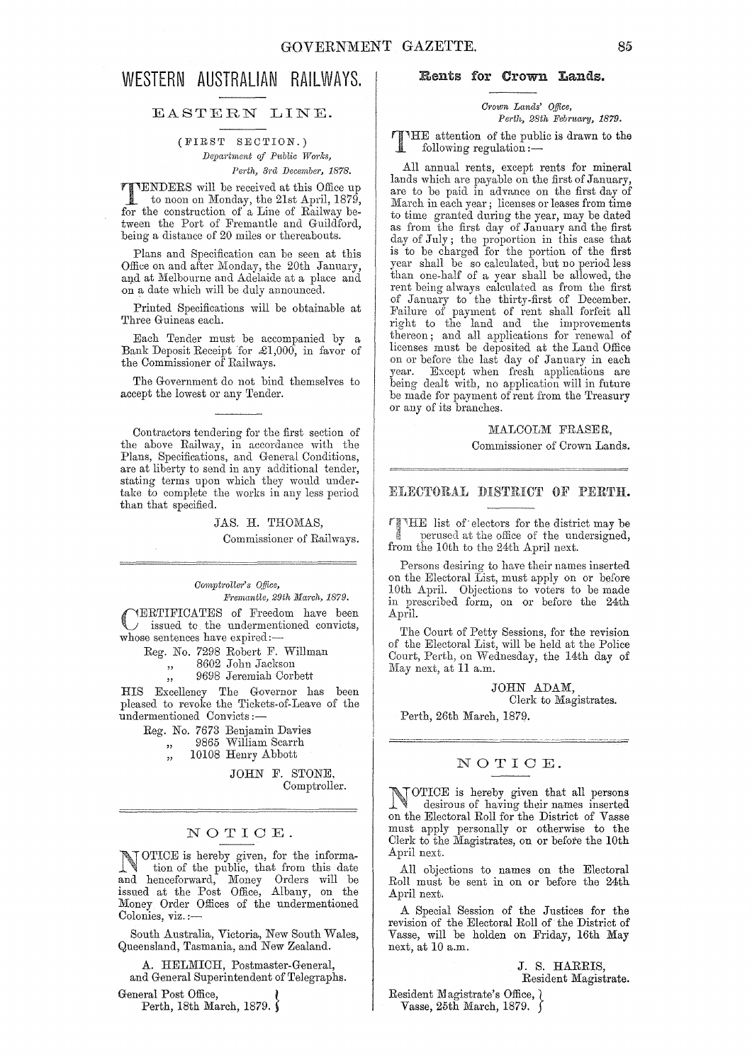## WESTERN AUSTRALIAN RAILWAYS,

## EASTERN LINE.

(FIRST SECTION.)  $Department of Public Works,$ *Perth, Brd December, 1878.* 

**TTENDERS** will be received at this Office up to noon on Monday, the 21st April 1270 to noon on Monday, the 21st April, 1879, for the construction of a Line of Railway between the Port of Fremantle and Guildford, being a distance of 20 miles or thereabouts.

Plans and Specification can be seen at this Offiee on and after Monday, the 20th January, and at Melbourne and Adelaide at a place and  $% \alpha$ on a date which will be duly announced.

Printed Specifications will be obtainable at Three Guineas each.

Each Tender must be accompanied by a Bank Deposit Receipt for £1,000, in favor of the Commissioner of Railways.

The Government do not bind themselves to accept the lowest or any Tender.

Contractors tendering for the first section of the above Railway, in accordance with the Plans, Specifications, and General Conditions, are at liberty to send in any additional tender, stating terms upon which they would undertake to complete the works in any less period than that specified.

> JAS. H. THOMAS, Commissioner of Railways.

#### *Comptroll81·>* s *Qffice, Jiltemantle, 29th }Iarch, 1879.*

CERTIFICATES of Freedom have been issued to the undermentioned convicts, whose sentences have expired:-

Reg. No. 7298 Robert F. Willman

" 8602 John Jackson

9698 Jeremiah Corbett

HIS Excellency The Governor has been pleased to revoke the Tickets-of-Leave of the undermentioned Convicts:-

Reg. No. 7673 Benjamin Davies

" 9865 William Scanh 10108 Henry Abbott

> JOHN F. STONE, Comptroller.

## NOTIOE.

NOTICE is hereby given, for the informa-<br>tion of the public, that from this date and henceforward, Money Orders will be issued at the Post Office, Albany, on the Money Order Offices of the undermentioned Colonies, viz. :-

South Australia, Victoria, New South Wales, Queensland, Tasmania, and New Zealand.

A. HELMICH, Postmaster-General, and General Superintendent of Telegraphs.

General Post Office, Perth, 18th March, 1879.

## Bents for Crown Lands.

Cro~vn *Lands' Office,*   $Perth$ , 28th February, 1879.

TIHE attention of the public is drawn to the following regulation  $:$ 

All annual rents, except rents for mineral lands which are payable on the first of January, are to be paid in advance on the first day of March in each year; licenses or leases from time to time granted during the year, may be dated as from the first day of January and the first day of July; the proportion in this case that is to be charged for the portion of the first year shall be so calculated, but no period less than one-half of a year shall be allowed, the rent being always calculated as from the first of January to the thirty-first of December. Failure of payment of rent shall forfeit all right to the land and the improvements thereon; and all applications for renewal of licenses must be deposited at the Land Office on or before the last day of January in each year. Except when fresh applications are being dealt with, no application will in future be made for payment of rent from the Treasury or any of its branches.

## MALCOLM FRASER.

Commissioner of Crown Lands.

### ELECTORAL DISTRICT OF PERTH.

list of' electors for the district may be perused at the office of the undersigned, from the 10th to the 24th April next.

Persons desiring to have their names inserted on the Electoral List, must apply on or before 10th April. Objections to voters to be made in prescribed form, on or before the 24th April.

The Court of Petty Sessions, for the revision of the Electoral List, will be held at the Police Court, Perth, on Wednesday, the 14th day of May next, at 11 a.m.

> JOHN ADAM, Clerk to Magistrates.

Perth, 26th March, 1879.

## NOTIOE.

NOTICE is hereby given that all persons desirous of having their names inserted on the Electoral Roll for the District of Vasse mnst apply personally or otherwise to the Clerk to the Magistrates, on or before the 10th April next.

All objections to names on the Electoral Roll must be sent in on or before the 24th April next.

A Special Session of the Justices for the revision of the Electoral Roll of the District of Vasse, will be holden on Friday, 16th May next, at 10 a.m.

> J. S. HARRIS, Resident Magistrate.

Resident Magistrate's Office,  $\overline{\phantom{a}}$ Vasse, 25th March, 1879.